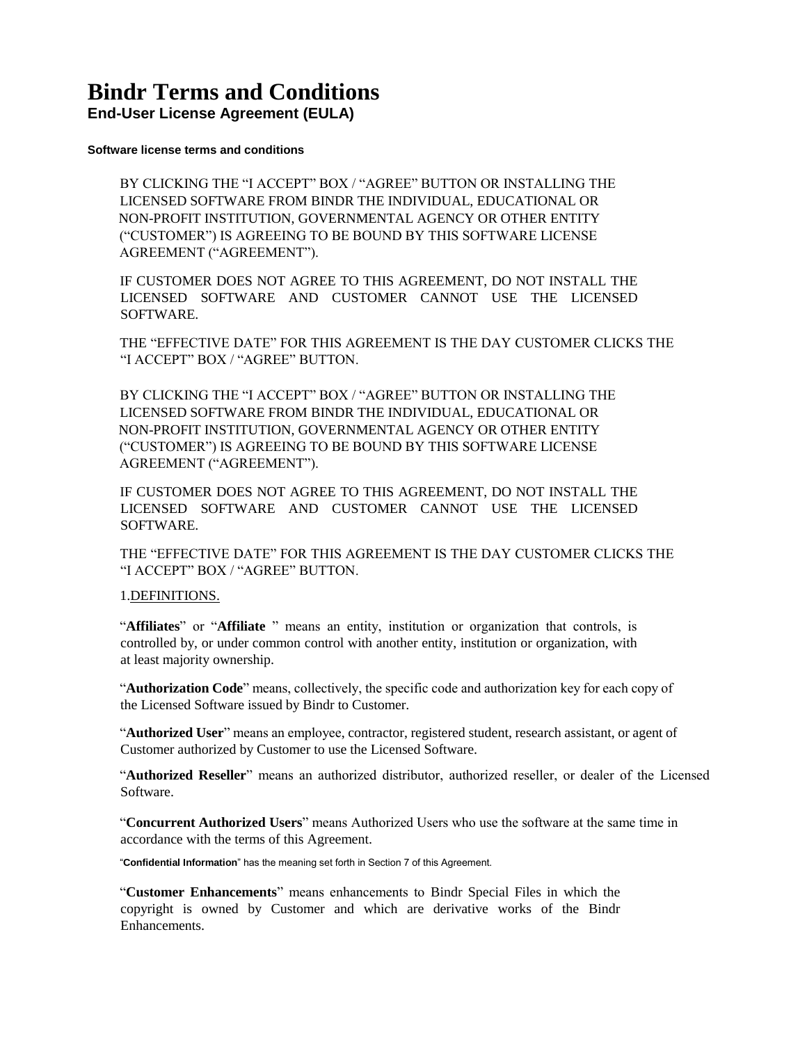# **Bindr Terms and Conditions**

**End-User License Agreement (EULA)**

### **Software license terms and conditions**

BY CLICKING THE "I ACCEPT" BOX / "AGREE" BUTTON OR INSTALLING THE LICENSED SOFTWARE FROM BINDR THE INDIVIDUAL, EDUCATIONAL OR NON-PROFIT INSTITUTION, GOVERNMENTAL AGENCY OR OTHER ENTITY ("CUSTOMER") IS AGREEING TO BE BOUND BY THIS SOFTWARE LICENSE AGREEMENT ("AGREEMENT").

IF CUSTOMER DOES NOT AGREE TO THIS AGREEMENT, DO NOT INSTALL THE LICENSED SOFTWARE AND CUSTOMER CANNOT USE THE LICENSED SOFTWARE.

THE "EFFECTIVE DATE" FOR THIS AGREEMENT IS THE DAY CUSTOMER CLICKS THE "I ACCEPT" BOX / "AGREE" BUTTON.

BY CLICKING THE "I ACCEPT" BOX / "AGREE" BUTTON OR INSTALLING THE LICENSED SOFTWARE FROM BINDR THE INDIVIDUAL, EDUCATIONAL OR NON-PROFIT INSTITUTION, GOVERNMENTAL AGENCY OR OTHER ENTITY ("CUSTOMER") IS AGREEING TO BE BOUND BY THIS SOFTWARE LICENSE AGREEMENT ("AGREEMENT").

IF CUSTOMER DOES NOT AGREE TO THIS AGREEMENT, DO NOT INSTALL THE LICENSED SOFTWARE AND CUSTOMER CANNOT USE THE LICENSED **SOFTWARE** 

THE "EFFECTIVE DATE" FOR THIS AGREEMENT IS THE DAY CUSTOMER CLICKS THE "I ACCEPT" BOX / "AGREE" BUTTON.

## 1.DEFINITIONS.

"**Affiliates**" or "**Affiliate** " means an entity, institution or organization that controls, is controlled by, or under common control with another entity, institution or organization, with at least majority ownership.

"**Authorization Code**" means, collectively, the specific code and authorization key for each copy of the Licensed Software issued by Bindr to Customer.

"**Authorized User**" means an employee, contractor, registered student, research assistant, or agent of Customer authorized by Customer to use the Licensed Software.

"**Authorized Reseller**" means an authorized distributor, authorized reseller, or dealer of the Licensed Software.

"**Concurrent Authorized Users**" means Authorized Users who use the software at the same time in accordance with the terms of this Agreement.

"**Confidential Information**" has the meaning set forth in Section 7 of this Agreement.

"**Customer Enhancements**" means enhancements to Bindr Special Files in which the copyright is owned by Customer and which are derivative works of the Bindr Enhancements.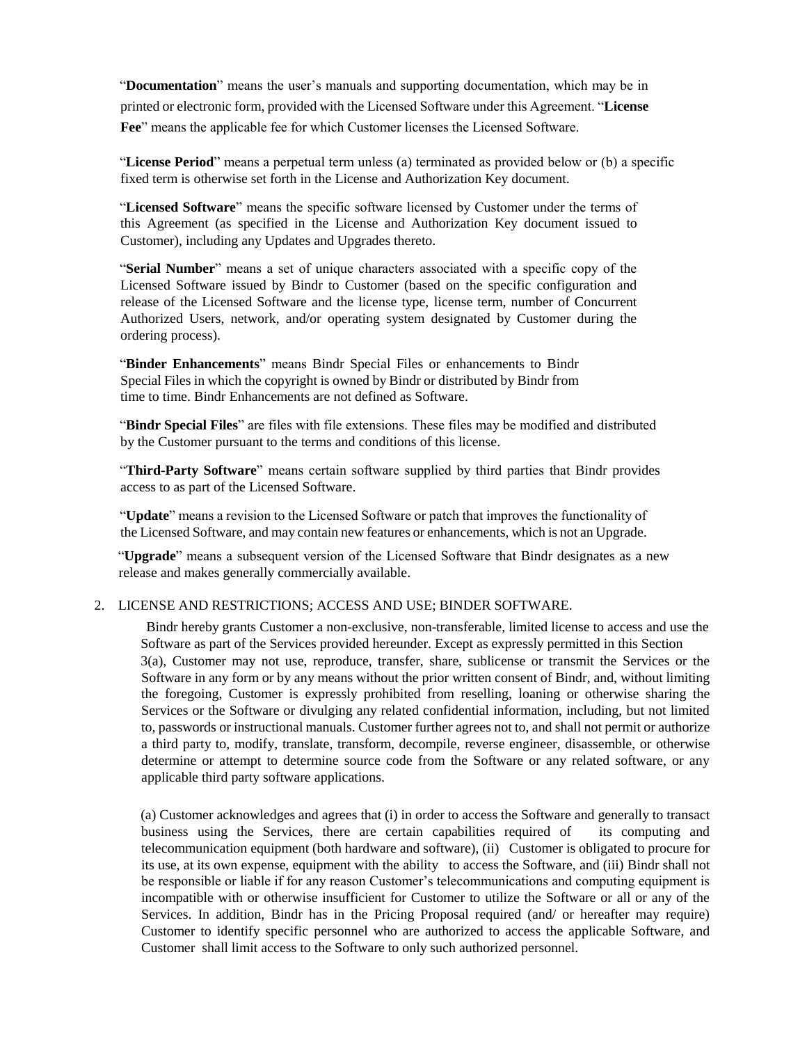"**Documentation**" means the user's manuals and supporting documentation, which may be in printed or electronic form, provided with the Licensed Software under this Agreement. "**License Fee**" means the applicable fee for which Customer licenses the Licensed Software.

"**License Period**" means a perpetual term unless (a) terminated as provided below or (b) a specific fixed term is otherwise set forth in the License and Authorization Key document.

"**Licensed Software**" means the specific software licensed by Customer under the terms of this Agreement (as specified in the License and Authorization Key document issued to Customer), including any Updates and Upgrades thereto.

"**Serial Number**" means a set of unique characters associated with a specific copy of the Licensed Software issued by Bindr to Customer (based on the specific configuration and release of the Licensed Software and the license type, license term, number of Concurrent Authorized Users, network, and/or operating system designated by Customer during the ordering process).

"**Binder Enhancements**" means Bindr Special Files or enhancements to Bindr Special Files in which the copyright is owned by Bindr or distributed by Bindr from time to time. Bindr Enhancements are not defined as Software.

"**Bindr Special Files**" are files with file extensions. These files may be modified and distributed by the Customer pursuant to the terms and conditions of this license.

"**Third-Party Software**" means certain software supplied by third parties that Bindr provides access to as part of the Licensed Software.

"**Update**" means a revision to the Licensed Software or patch that improves the functionality of the Licensed Software, and may contain new features or enhancements, which is not an Upgrade.

"**Upgrade**" means a subsequent version of the Licensed Software that Bindr designates as a new release and makes generally commercially available.

### 2. LICENSE AND RESTRICTIONS; ACCESS AND USE; BINDER SOFTWARE.

Bindr hereby grants Customer a non-exclusive, non-transferable, limited license to access and use the Software as part of the Services provided hereunder. Except as expressly permitted in this Section 3(a), Customer may not use, reproduce, transfer, share, sublicense or transmit the Services or the Software in any form or by any means without the prior written consent of Bindr, and, without limiting the foregoing, Customer is expressly prohibited from reselling, loaning or otherwise sharing the Services or the Software or divulging any related confidential information, including, but not limited to, passwords or instructional manuals. Customer further agrees not to, and shall not permit or authorize a third party to, modify, translate, transform, decompile, reverse engineer, disassemble, or otherwise determine or attempt to determine source code from the Software or any related software, or any applicable third party software applications.

(a) Customer acknowledges and agrees that (i) in order to access the Software and generally to transact business using the Services, there are certain capabilities required of its computing and telecommunication equipment (both hardware and software), (ii) Customer is obligated to procure for its use, at its own expense, equipment with the ability to access the Software, and (iii) Bindr shall not be responsible or liable if for any reason Customer's telecommunications and computing equipment is incompatible with or otherwise insufficient for Customer to utilize the Software or all or any of the Services. In addition, Bindr has in the Pricing Proposal required (and/ or hereafter may require) Customer to identify specific personnel who are authorized to access the applicable Software, and Customer shall limit access to the Software to only such authorized personnel.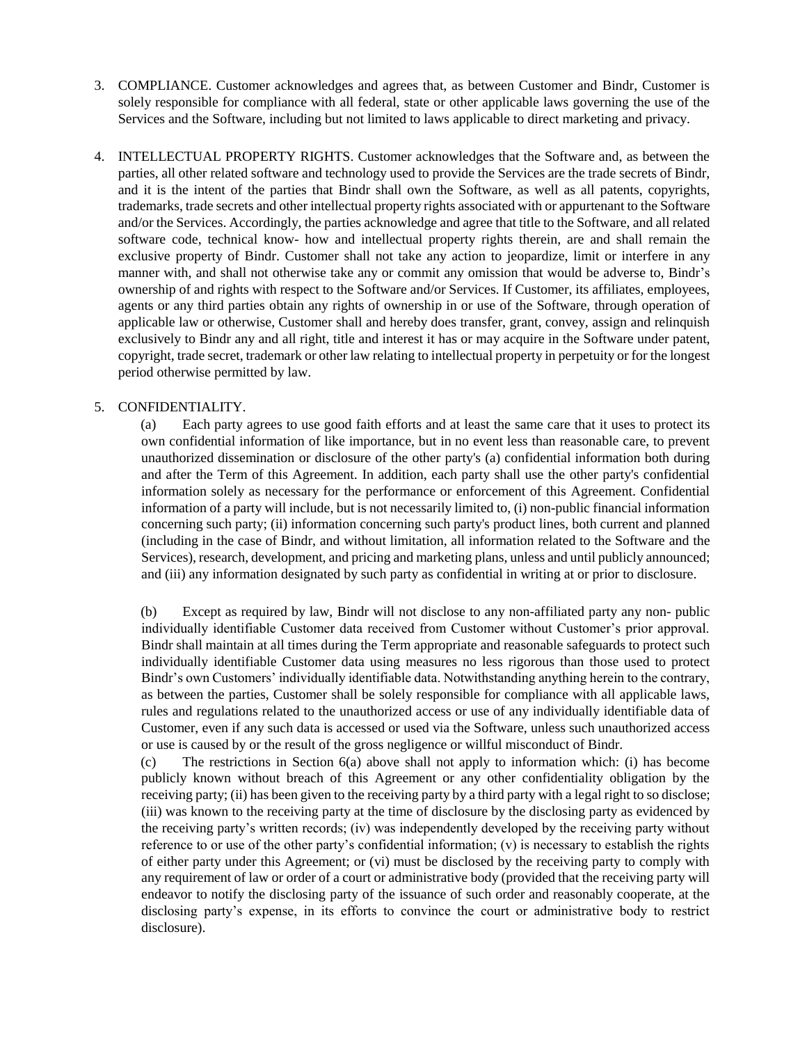- 3. COMPLIANCE. Customer acknowledges and agrees that, as between Customer and Bindr, Customer is solely responsible for compliance with all federal, state or other applicable laws governing the use of the Services and the Software, including but not limited to laws applicable to direct marketing and privacy.
- 4. INTELLECTUAL PROPERTY RIGHTS. Customer acknowledges that the Software and, as between the parties, all other related software and technology used to provide the Services are the trade secrets of Bindr, and it is the intent of the parties that Bindr shall own the Software, as well as all patents, copyrights, trademarks, trade secrets and other intellectual property rights associated with or appurtenant to the Software and/or the Services. Accordingly, the parties acknowledge and agree that title to the Software, and all related software code, technical know- how and intellectual property rights therein, are and shall remain the exclusive property of Bindr. Customer shall not take any action to jeopardize, limit or interfere in any manner with, and shall not otherwise take any or commit any omission that would be adverse to, Bindr's ownership of and rights with respect to the Software and/or Services. If Customer, its affiliates, employees, agents or any third parties obtain any rights of ownership in or use of the Software, through operation of applicable law or otherwise, Customer shall and hereby does transfer, grant, convey, assign and relinquish exclusively to Bindr any and all right, title and interest it has or may acquire in the Software under patent, copyright, trade secret, trademark or other law relating to intellectual property in perpetuity or for the longest period otherwise permitted by law.

# 5. CONFIDENTIALITY.

(a) Each party agrees to use good faith efforts and at least the same care that it uses to protect its own confidential information of like importance, but in no event less than reasonable care, to prevent unauthorized dissemination or disclosure of the other party's (a) confidential information both during and after the Term of this Agreement. In addition, each party shall use the other party's confidential information solely as necessary for the performance or enforcement of this Agreement. Confidential information of a party will include, but is not necessarily limited to, (i) non-public financial information concerning such party; (ii) information concerning such party's product lines, both current and planned (including in the case of Bindr, and without limitation, all information related to the Software and the Services), research, development, and pricing and marketing plans, unless and until publicly announced; and (iii) any information designated by such party as confidential in writing at or prior to disclosure.

(b) Except as required by law, Bindr will not disclose to any non-affiliated party any non- public individually identifiable Customer data received from Customer without Customer's prior approval. Bindr shall maintain at all times during the Term appropriate and reasonable safeguards to protect such individually identifiable Customer data using measures no less rigorous than those used to protect Bindr's own Customers' individually identifiable data. Notwithstanding anything herein to the contrary, as between the parties, Customer shall be solely responsible for compliance with all applicable laws, rules and regulations related to the unauthorized access or use of any individually identifiable data of Customer, even if any such data is accessed or used via the Software, unless such unauthorized access or use is caused by or the result of the gross negligence or willful misconduct of Bindr.

(c) The restrictions in Section 6(a) above shall not apply to information which: (i) has become publicly known without breach of this Agreement or any other confidentiality obligation by the receiving party; (ii) has been given to the receiving party by a third party with a legal right to so disclose; (iii) was known to the receiving party at the time of disclosure by the disclosing party as evidenced by the receiving party's written records; (iv) was independently developed by the receiving party without reference to or use of the other party's confidential information;  $(v)$  is necessary to establish the rights of either party under this Agreement; or (vi) must be disclosed by the receiving party to comply with any requirement of law or order of a court or administrative body (provided that the receiving party will endeavor to notify the disclosing party of the issuance of such order and reasonably cooperate, at the disclosing party's expense, in its efforts to convince the court or administrative body to restrict disclosure).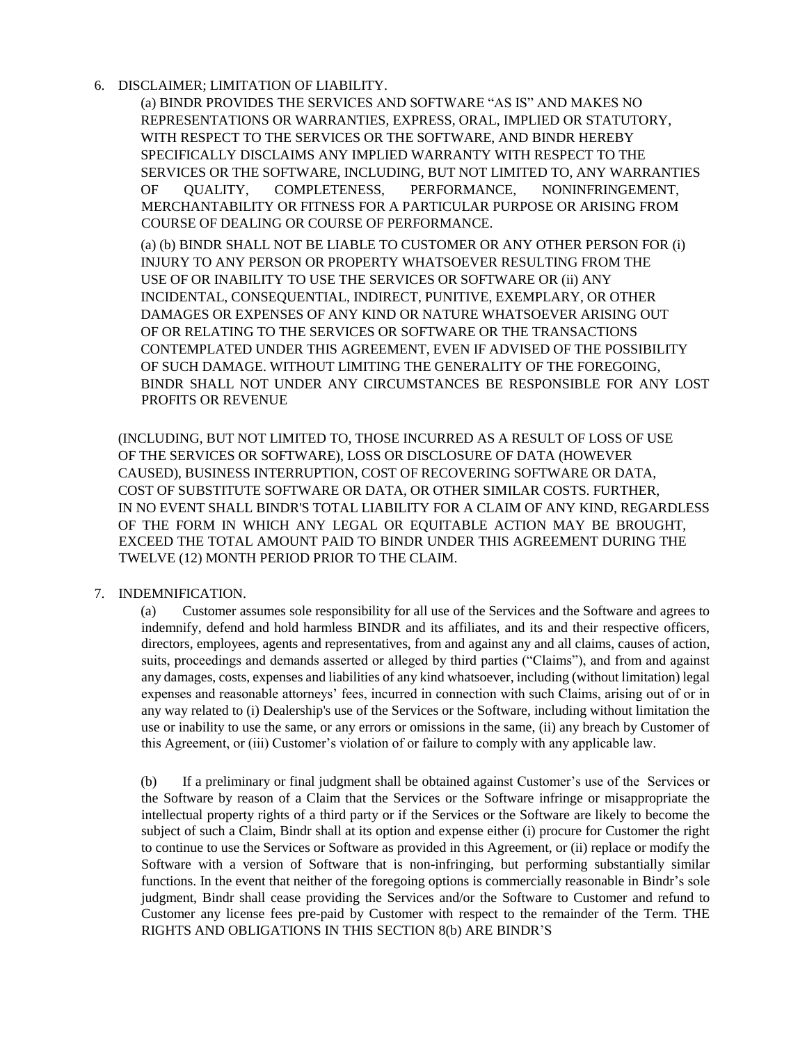# 6. DISCLAIMER; LIMITATION OF LIABILITY.

(a) BINDR PROVIDES THE SERVICES AND SOFTWARE "AS IS" AND MAKES NO REPRESENTATIONS OR WARRANTIES, EXPRESS, ORAL, IMPLIED OR STATUTORY, WITH RESPECT TO THE SERVICES OR THE SOFTWARE, AND BINDR HEREBY SPECIFICALLY DISCLAIMS ANY IMPLIED WARRANTY WITH RESPECT TO THE SERVICES OR THE SOFTWARE, INCLUDING, BUT NOT LIMITED TO, ANY WARRANTIES OF QUALITY, COMPLETENESS, PERFORMANCE, NONINFRINGEMENT, MERCHANTABILITY OR FITNESS FOR A PARTICULAR PURPOSE OR ARISING FROM COURSE OF DEALING OR COURSE OF PERFORMANCE.

(a) (b) BINDR SHALL NOT BE LIABLE TO CUSTOMER OR ANY OTHER PERSON FOR (i) INJURY TO ANY PERSON OR PROPERTY WHATSOEVER RESULTING FROM THE USE OF OR INABILITY TO USE THE SERVICES OR SOFTWARE OR (ii) ANY INCIDENTAL, CONSEQUENTIAL, INDIRECT, PUNITIVE, EXEMPLARY, OR OTHER DAMAGES OR EXPENSES OF ANY KIND OR NATURE WHATSOEVER ARISING OUT OF OR RELATING TO THE SERVICES OR SOFTWARE OR THE TRANSACTIONS CONTEMPLATED UNDER THIS AGREEMENT, EVEN IF ADVISED OF THE POSSIBILITY OF SUCH DAMAGE. WITHOUT LIMITING THE GENERALITY OF THE FOREGOING, BINDR SHALL NOT UNDER ANY CIRCUMSTANCES BE RESPONSIBLE FOR ANY LOST PROFITS OR REVENUE

(INCLUDING, BUT NOT LIMITED TO, THOSE INCURRED AS A RESULT OF LOSS OF USE OF THE SERVICES OR SOFTWARE), LOSS OR DISCLOSURE OF DATA (HOWEVER CAUSED), BUSINESS INTERRUPTION, COST OF RECOVERING SOFTWARE OR DATA, COST OF SUBSTITUTE SOFTWARE OR DATA, OR OTHER SIMILAR COSTS. FURTHER, IN NO EVENT SHALL BINDR'S TOTAL LIABILITY FOR A CLAIM OF ANY KIND, REGARDLESS OF THE FORM IN WHICH ANY LEGAL OR EQUITABLE ACTION MAY BE BROUGHT, EXCEED THE TOTAL AMOUNT PAID TO BINDR UNDER THIS AGREEMENT DURING THE TWELVE (12) MONTH PERIOD PRIOR TO THE CLAIM.

## 7. INDEMNIFICATION.

(a) Customer assumes sole responsibility for all use of the Services and the Software and agrees to indemnify, defend and hold harmless BINDR and its affiliates, and its and their respective officers, directors, employees, agents and representatives, from and against any and all claims, causes of action, suits, proceedings and demands asserted or alleged by third parties ("Claims"), and from and against any damages, costs, expenses and liabilities of any kind whatsoever, including (without limitation) legal expenses and reasonable attorneys' fees, incurred in connection with such Claims, arising out of or in any way related to (i) Dealership's use of the Services or the Software, including without limitation the use or inability to use the same, or any errors or omissions in the same, (ii) any breach by Customer of this Agreement, or (iii) Customer's violation of or failure to comply with any applicable law.

(b) If a preliminary or final judgment shall be obtained against Customer's use of the Services or the Software by reason of a Claim that the Services or the Software infringe or misappropriate the intellectual property rights of a third party or if the Services or the Software are likely to become the subject of such a Claim, Bindr shall at its option and expense either (i) procure for Customer the right to continue to use the Services or Software as provided in this Agreement, or (ii) replace or modify the Software with a version of Software that is non-infringing, but performing substantially similar functions. In the event that neither of the foregoing options is commercially reasonable in Bindr's sole judgment, Bindr shall cease providing the Services and/or the Software to Customer and refund to Customer any license fees pre-paid by Customer with respect to the remainder of the Term. THE RIGHTS AND OBLIGATIONS IN THIS SECTION 8(b) ARE BINDR'S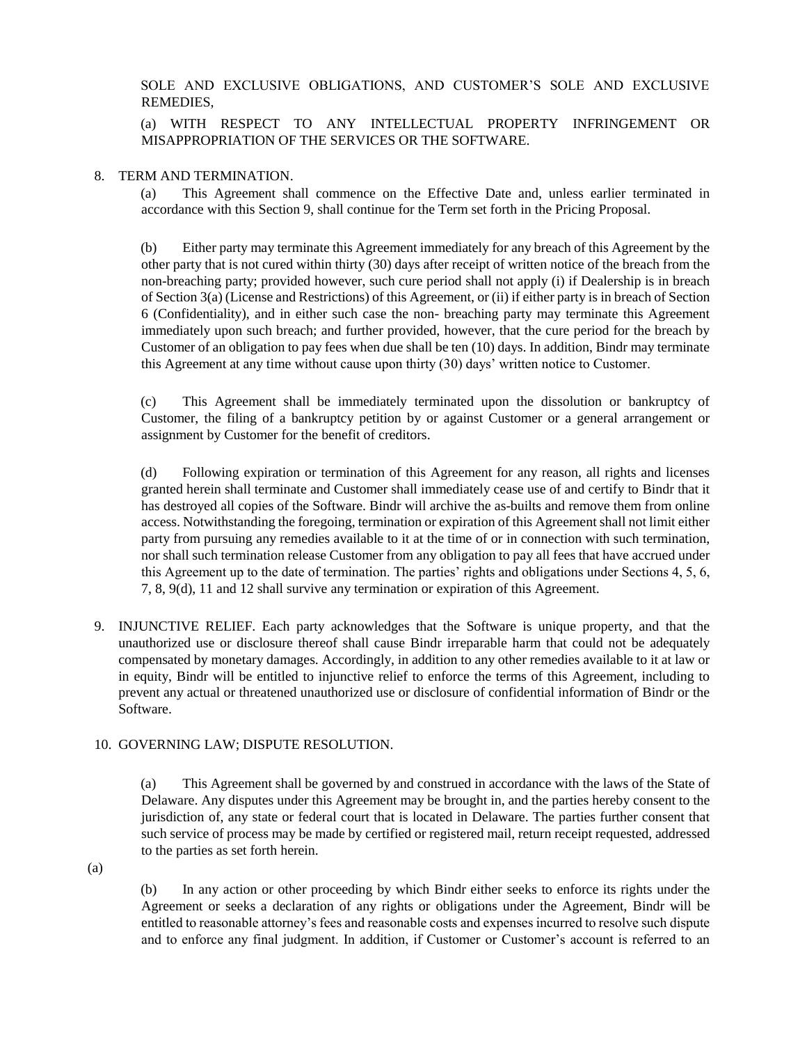SOLE AND EXCLUSIVE OBLIGATIONS, AND CUSTOMER'S SOLE AND EXCLUSIVE REMEDIES,

(a) WITH RESPECT TO ANY INTELLECTUAL PROPERTY INFRINGEMENT OR MISAPPROPRIATION OF THE SERVICES OR THE SOFTWARE.

### 8. TERM AND TERMINATION.

(a) This Agreement shall commence on the Effective Date and, unless earlier terminated in accordance with this Section 9, shall continue for the Term set forth in the Pricing Proposal.

(b) Either party may terminate this Agreement immediately for any breach of this Agreement by the other party that is not cured within thirty (30) days after receipt of written notice of the breach from the non-breaching party; provided however, such cure period shall not apply (i) if Dealership is in breach of Section 3(a) (License and Restrictions) of this Agreement, or (ii) if either party is in breach of Section 6 (Confidentiality), and in either such case the non- breaching party may terminate this Agreement immediately upon such breach; and further provided, however, that the cure period for the breach by Customer of an obligation to pay fees when due shall be ten (10) days. In addition, Bindr may terminate this Agreement at any time without cause upon thirty (30) days' written notice to Customer.

(c) This Agreement shall be immediately terminated upon the dissolution or bankruptcy of Customer, the filing of a bankruptcy petition by or against Customer or a general arrangement or assignment by Customer for the benefit of creditors.

(d) Following expiration or termination of this Agreement for any reason, all rights and licenses granted herein shall terminate and Customer shall immediately cease use of and certify to Bindr that it has destroyed all copies of the Software. Bindr will archive the as-builts and remove them from online access. Notwithstanding the foregoing, termination or expiration of this Agreement shall not limit either party from pursuing any remedies available to it at the time of or in connection with such termination, nor shall such termination release Customer from any obligation to pay all fees that have accrued under this Agreement up to the date of termination. The parties' rights and obligations under Sections 4, 5, 6, 7, 8, 9(d), 11 and 12 shall survive any termination or expiration of this Agreement.

9. INJUNCTIVE RELIEF. Each party acknowledges that the Software is unique property, and that the unauthorized use or disclosure thereof shall cause Bindr irreparable harm that could not be adequately compensated by monetary damages. Accordingly, in addition to any other remedies available to it at law or in equity, Bindr will be entitled to injunctive relief to enforce the terms of this Agreement, including to prevent any actual or threatened unauthorized use or disclosure of confidential information of Bindr or the Software.

## 10. GOVERNING LAW; DISPUTE RESOLUTION.

(a) This Agreement shall be governed by and construed in accordance with the laws of the State of Delaware. Any disputes under this Agreement may be brought in, and the parties hereby consent to the jurisdiction of, any state or federal court that is located in Delaware. The parties further consent that such service of process may be made by certified or registered mail, return receipt requested, addressed to the parties as set forth herein.

(a)

(b) In any action or other proceeding by which Bindr either seeks to enforce its rights under the Agreement or seeks a declaration of any rights or obligations under the Agreement, Bindr will be entitled to reasonable attorney's fees and reasonable costs and expenses incurred to resolve such dispute and to enforce any final judgment. In addition, if Customer or Customer's account is referred to an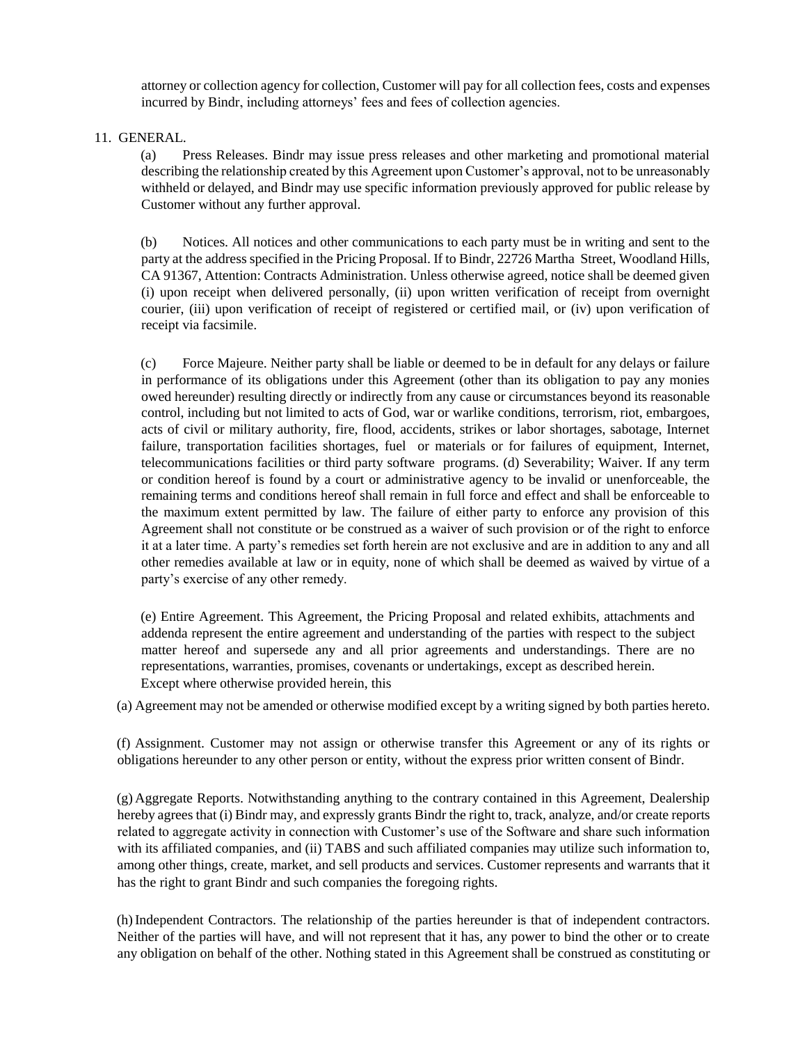attorney or collection agency for collection, Customer will pay for all collection fees, costs and expenses incurred by Bindr, including attorneys' fees and fees of collection agencies.

11. GENERAL.

(a) Press Releases. Bindr may issue press releases and other marketing and promotional material describing the relationship created by this Agreement upon Customer's approval, not to be unreasonably withheld or delayed, and Bindr may use specific information previously approved for public release by Customer without any further approval.

(b) Notices. All notices and other communications to each party must be in writing and sent to the party at the address specified in the Pricing Proposal. If to Bindr, 22726 Martha Street, Woodland Hills, CA 91367, Attention: Contracts Administration. Unless otherwise agreed, notice shall be deemed given (i) upon receipt when delivered personally, (ii) upon written verification of receipt from overnight courier, (iii) upon verification of receipt of registered or certified mail, or (iv) upon verification of receipt via facsimile.

(c) Force Majeure. Neither party shall be liable or deemed to be in default for any delays or failure in performance of its obligations under this Agreement (other than its obligation to pay any monies owed hereunder) resulting directly or indirectly from any cause or circumstances beyond its reasonable control, including but not limited to acts of God, war or warlike conditions, terrorism, riot, embargoes, acts of civil or military authority, fire, flood, accidents, strikes or labor shortages, sabotage, Internet failure, transportation facilities shortages, fuel or materials or for failures of equipment, Internet, telecommunications facilities or third party software programs. (d) Severability; Waiver. If any term or condition hereof is found by a court or administrative agency to be invalid or unenforceable, the remaining terms and conditions hereof shall remain in full force and effect and shall be enforceable to the maximum extent permitted by law. The failure of either party to enforce any provision of this Agreement shall not constitute or be construed as a waiver of such provision or of the right to enforce it at a later time. A party's remedies set forth herein are not exclusive and are in addition to any and all other remedies available at law or in equity, none of which shall be deemed as waived by virtue of a party's exercise of any other remedy.

(e) Entire Agreement. This Agreement, the Pricing Proposal and related exhibits, attachments and addenda represent the entire agreement and understanding of the parties with respect to the subject matter hereof and supersede any and all prior agreements and understandings. There are no representations, warranties, promises, covenants or undertakings, except as described herein. Except where otherwise provided herein, this

(a) Agreement may not be amended or otherwise modified except by a writing signed by both parties hereto.

(f) Assignment. Customer may not assign or otherwise transfer this Agreement or any of its rights or obligations hereunder to any other person or entity, without the express prior written consent of Bindr.

(g) Aggregate Reports. Notwithstanding anything to the contrary contained in this Agreement, Dealership hereby agrees that (i) Bindr may, and expressly grants Bindr the right to, track, analyze, and/or create reports related to aggregate activity in connection with Customer's use of the Software and share such information with its affiliated companies, and (ii) TABS and such affiliated companies may utilize such information to, among other things, create, market, and sell products and services. Customer represents and warrants that it has the right to grant Bindr and such companies the foregoing rights.

(h)Independent Contractors. The relationship of the parties hereunder is that of independent contractors. Neither of the parties will have, and will not represent that it has, any power to bind the other or to create any obligation on behalf of the other. Nothing stated in this Agreement shall be construed as constituting or